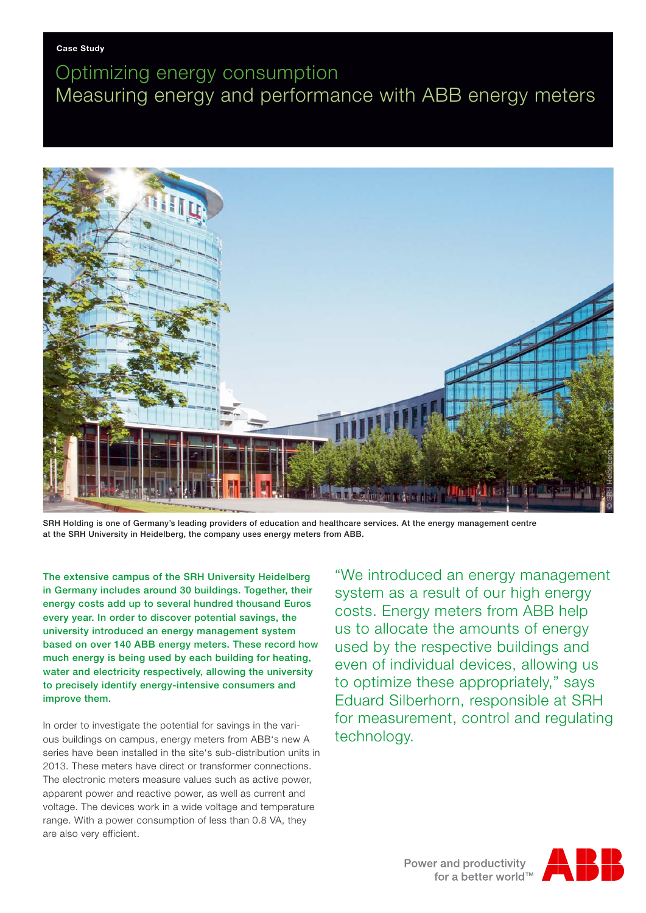## Optimizing energy consumption Measuring energy and performance with ABB energy meters



SRH Holding is one of Germany's leading providers of education and healthcare services. At the energy management centre at the SRH University in Heidelberg, the company uses energy meters from ABB.

The extensive campus of the SRH University Heidelberg in Germany includes around 30 buildings. Together, their energy costs add up to several hundred thousand Euros every year. In order to discover potential savings, the university introduced an energy management system based on over 140 ABB energy meters. These record how much energy is being used by each building for heating, water and electricity respectively, allowing the university to precisely identify energy-intensive consumers and improve them.

In order to investigate the potential for savings in the various buildings on campus, energy meters from ABB's new A series have been installed in the site's sub-distribution units in 2013. These meters have direct or transformer connections. The electronic meters measure values such as active power, apparent power and reactive power, as well as current and voltage. The devices work in a wide voltage and temperature range. With a power consumption of less than 0.8 VA, they are also very efficient.

"We introduced an energy management system as a result of our high energy costs. Energy meters from ABB help us to allocate the amounts of energy used by the respective buildings and even of individual devices, allowing us to optimize these appropriately," says Eduard Silberhorn, responsible at SRH for measurement, control and regulating technology.